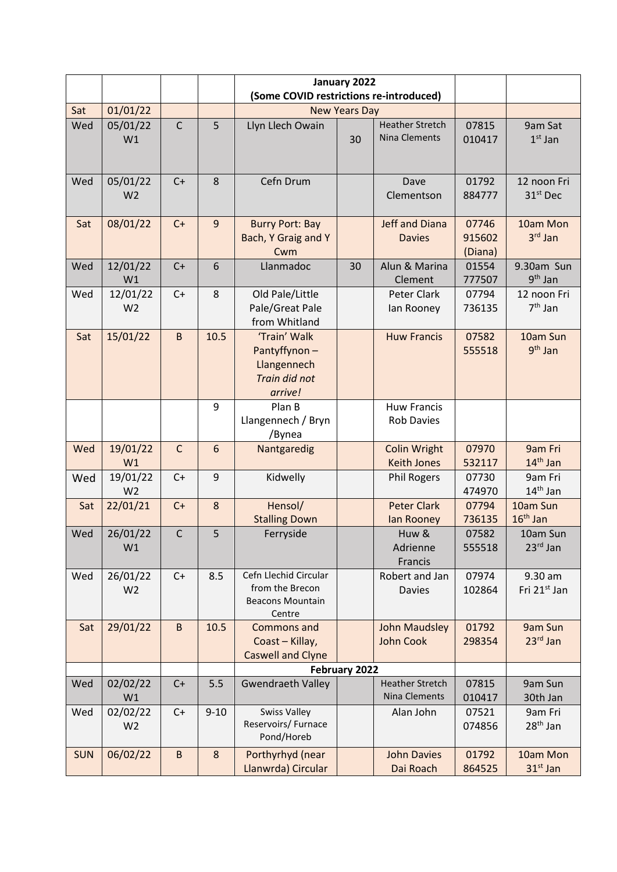|            |                |              |          | January 2022                            |    |                        |         |                          |  |
|------------|----------------|--------------|----------|-----------------------------------------|----|------------------------|---------|--------------------------|--|
|            |                |              |          | (Some COVID restrictions re-introduced) |    |                        |         |                          |  |
| Sat        | 01/01/22       |              |          | <b>New Years Day</b>                    |    |                        |         |                          |  |
| Wed        | 05/01/22       | $\mathsf{C}$ | 5        | Llyn Llech Owain                        |    | <b>Heather Stretch</b> | 07815   | 9am Sat                  |  |
|            | W1             |              |          |                                         | 30 | <b>Nina Clements</b>   | 010417  | $1st$ Jan                |  |
|            |                |              |          |                                         |    |                        |         |                          |  |
|            |                |              |          |                                         |    |                        |         |                          |  |
| Wed        | 05/01/22       | $C+$         | 8        | Cefn Drum                               |    | Dave                   | 01792   | 12 noon Fri              |  |
|            | W <sub>2</sub> |              |          |                                         |    | Clementson             | 884777  | 31 <sup>st</sup> Dec     |  |
|            |                |              |          |                                         |    |                        |         |                          |  |
| Sat        | 08/01/22       | $C+$         | 9        | <b>Burry Port: Bay</b>                  |    | <b>Jeff and Diana</b>  | 07746   | 10am Mon                 |  |
|            |                |              |          | <b>Bach, Y Graig and Y</b>              |    | <b>Davies</b>          | 915602  | $3rd$ Jan                |  |
|            |                |              |          | Cwm                                     |    |                        | (Diana) |                          |  |
| Wed        | 12/01/22       | $C+$         | 6        | Llanmadoc                               | 30 | Alun & Marina          | 01554   | 9.30am Sun               |  |
|            | W1             |              |          |                                         |    | Clement                | 777507  | $9th$ Jan                |  |
| Wed        | 12/01/22       | $C+$         | 8        | Old Pale/Little                         |    | Peter Clark            | 07794   | 12 noon Fri              |  |
|            | W <sub>2</sub> |              |          | Pale/Great Pale                         |    | lan Rooney             | 736135  | $7th$ Jan                |  |
|            |                |              |          | from Whitland                           |    |                        |         |                          |  |
| Sat        | 15/01/22       | $\sf B$      | 10.5     | 'Train' Walk                            |    | <b>Huw Francis</b>     | 07582   | 10am Sun                 |  |
|            |                |              |          | Pantyffynon-                            |    |                        | 555518  | 9 <sup>th</sup> Jan      |  |
|            |                |              |          | Llangennech                             |    |                        |         |                          |  |
|            |                |              |          | Train did not                           |    |                        |         |                          |  |
|            |                |              |          | arrive!                                 |    |                        |         |                          |  |
|            |                |              | 9        | Plan B                                  |    | <b>Huw Francis</b>     |         |                          |  |
|            |                |              |          | Llangennech / Bryn                      |    | <b>Rob Davies</b>      |         |                          |  |
|            |                |              |          | /Bynea                                  |    |                        |         |                          |  |
| Wed        | 19/01/22       | $\mathsf{C}$ | 6        | Nantgaredig                             |    | <b>Colin Wright</b>    | 07970   | 9am Fri                  |  |
|            | W1             |              |          |                                         |    | <b>Keith Jones</b>     | 532117  | $14th$ Jan               |  |
| Wed        | 19/01/22       | $C+$         | 9        | Kidwelly                                |    | <b>Phil Rogers</b>     | 07730   | 9am Fri                  |  |
|            | W <sub>2</sub> |              |          |                                         |    |                        | 474970  | $14th$ Jan               |  |
| Sat        | 22/01/21       | $C+$         | $\bf 8$  | Hensol/                                 |    | <b>Peter Clark</b>     | 07794   | 10am Sun<br>$16th$ Jan   |  |
|            |                |              |          | <b>Stalling Down</b>                    |    | lan Rooney             | 736135  |                          |  |
| Wed        | 26/01/22       | $\mathsf C$  | 5        | Ferryside                               |    | Huw &<br>Adrienne      | 07582   | 10am Sun<br>$23rd$ Jan   |  |
|            | W1             |              |          |                                         |    | Francis                | 555518  |                          |  |
| Wed        | 26/01/22       | $C+$         | 8.5      | Cefn Llechid Circular                   |    | Robert and Jan         | 07974   | 9.30 am                  |  |
|            | W <sub>2</sub> |              |          | from the Brecon                         |    | Davies                 | 102864  | Fri 21 <sup>st</sup> Jan |  |
|            |                |              |          | <b>Beacons Mountain</b>                 |    |                        |         |                          |  |
|            |                |              |          | Centre                                  |    |                        |         |                          |  |
| Sat        | 29/01/22       | $\sf B$      | 10.5     | Commons and                             |    | John Maudsley          | 01792   | 9am Sun                  |  |
|            |                |              |          | Coast - Killay,                         |    | <b>John Cook</b>       | 298354  | $23rd$ Jan               |  |
|            |                |              |          | <b>Caswell and Clyne</b>                |    |                        |         |                          |  |
|            | February 2022  |              |          |                                         |    |                        |         |                          |  |
| Wed        | 02/02/22       | $C+$         | 5.5      | <b>Gwendraeth Valley</b>                |    | <b>Heather Stretch</b> | 07815   | 9am Sun                  |  |
|            | W1             |              |          |                                         |    | Nina Clements          | 010417  | 30th Jan                 |  |
| Wed        | 02/02/22       | C+           | $9 - 10$ | <b>Swiss Valley</b>                     |    | Alan John              | 07521   | 9am Fri                  |  |
|            | W <sub>2</sub> |              |          | Reservoirs/ Furnace                     |    |                        | 074856  | $28th$ Jan               |  |
|            |                |              |          | Pond/Horeb                              |    |                        |         |                          |  |
| <b>SUN</b> | 06/02/22       | $\sf B$      | 8        | Porthyrhyd (near                        |    | <b>John Davies</b>     | 01792   | 10am Mon                 |  |
|            |                |              |          | Llanwrda) Circular                      |    | Dai Roach              | 864525  | $31st$ Jan               |  |